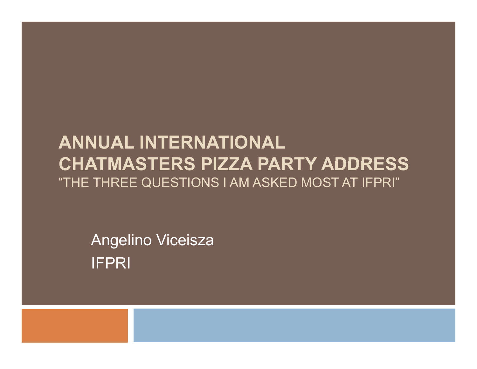#### **ANNUAL INTERNATIONAL CHATMASTERS PIZZA PARTY ADDRESS** "THE THREE QUESTIONS I AM ASKED MOST AT IFPRI"

Angelino Viceisza IFPRI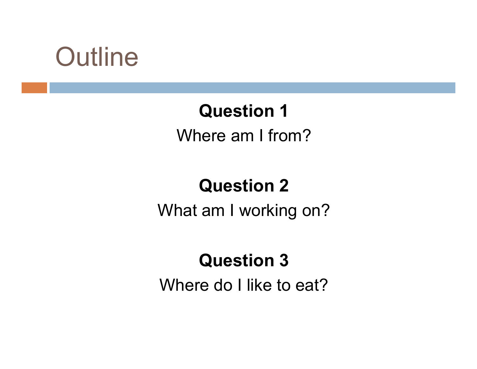### **Outline**

#### **Question 1**

Where am I from?

#### **Question 2**

What am I working on?

#### **Question 3**

Where do I like to eat?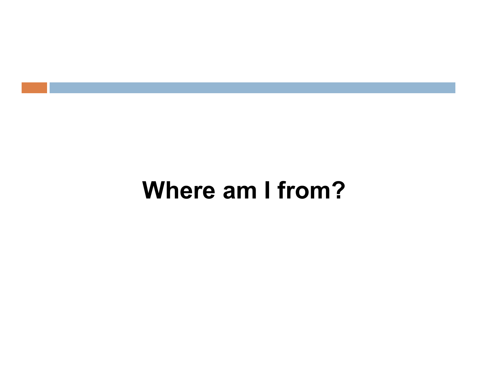### **Where am I from?**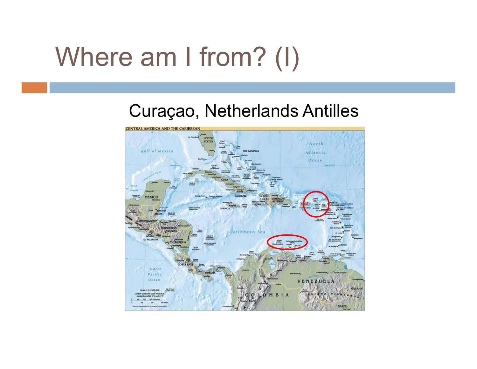### Where am I from? (I)

#### Curaçao, Netherlands Antilles

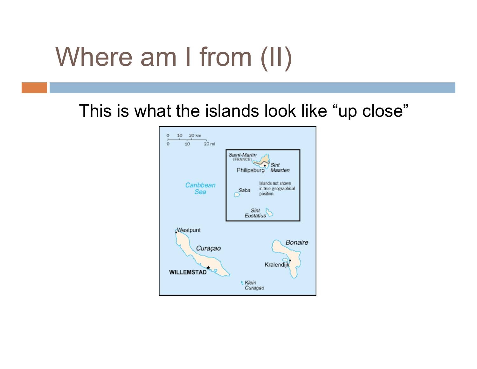### Where am I from (II)

This is what the islands look like "up close"

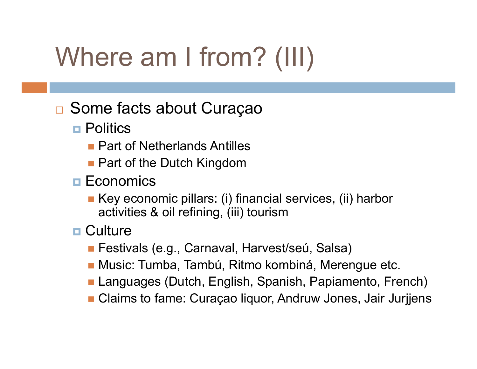# Where am I from? (III)

#### Some facts about Cura çao

- **□ Politics** 
	- **Part of Netherlands Antilles**
	- **Part of the Dutch Kingdom**
- $\blacksquare$  Economics
	- Key economic pillars: (i) financial services, (ii) harbor activities & oil refining, (iii) tourism
- **□ Culture** 
	- Festivals (e.g., Carnaval, Harvest/seú, Salsa)
	- Music: Tumba, Tambú, Ritmo kombiná, Merengue etc.
	- Languages (Dutch, English, Spanish, Papiamento, French)
	- Claims to fame: Curaçao liquor, Andruw Jones, Jair Jurjjens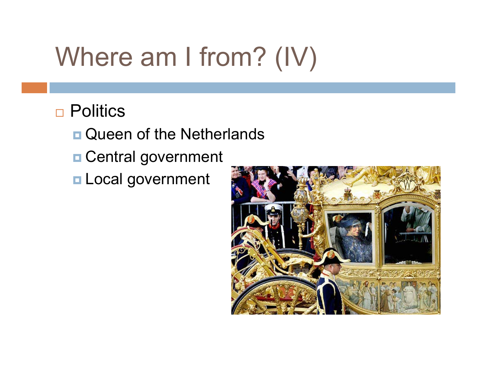# Where am I from?  $(IV)$

#### Politics

- **Queen of the Netherlands**
- **□ Central government**
- **□ Local government**

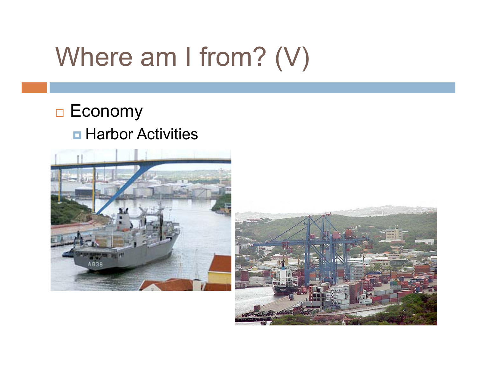## Where am I from?  $(V)$

#### **□ Economy □ Harbor Activities**



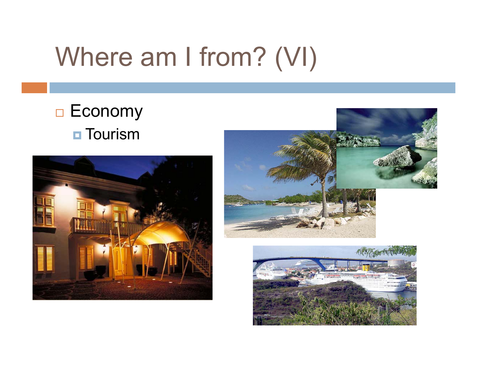### Where am I from? (VI)

#### **□ Economy**  $\blacksquare$  Tourism





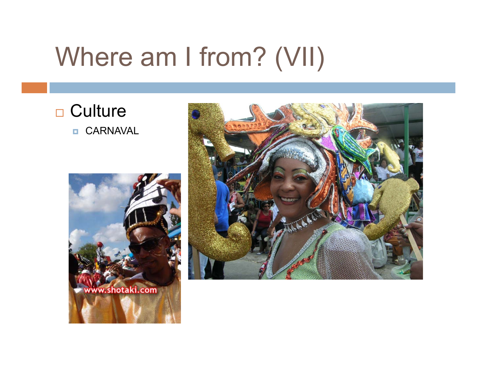### Where am I from? (VII)

□ Culture CARNAVAL



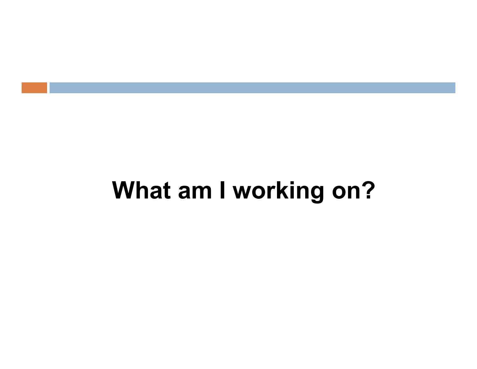### **What am I working on?**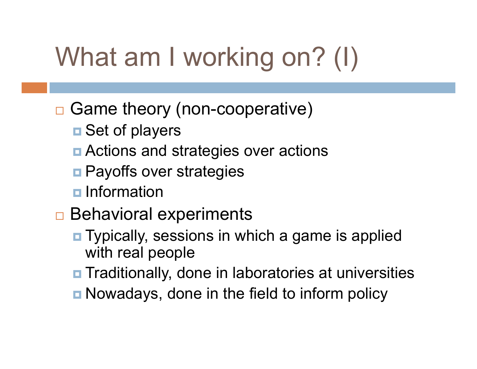# What am I working on? (I)

#### □ Game theory (non-cooperative)

- **□ Set of players**
- Actions and strategies over actions
- **<u>n</u>** Payoffs over strategies
- $\blacksquare$  Information
- □ Behavioral experiments
	- **<u>n</u>** Typically, sessions in which a game is applied with real people
	- **□ Traditionally, done in laboratories at universities**
	- **n** Nowadays, done in the field to inform policy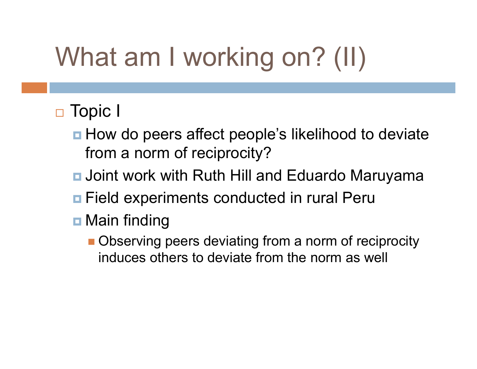# What am I working on? (II)

#### □ Topic I

- How do peers affect people's likelihood to deviate from a norm of reciprocity?
- **□ Joint work with Ruth Hill and Eduardo Maruyama**
- **□ Field experiments conducted in rural Peru**
- **□** Main finding
	- **Observing peers deviating from a norm of reciprocity** induces others to deviate from the norm as well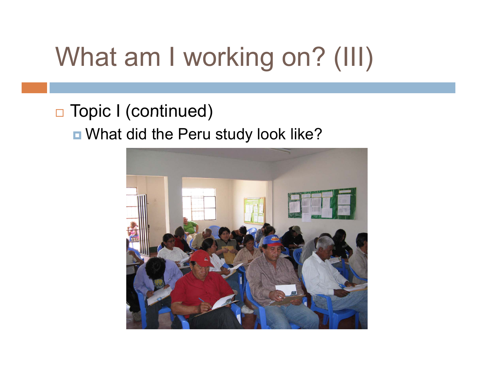# What am I working on? (III)

### □ Topic I (continued)

■ What did the Peru study look like?

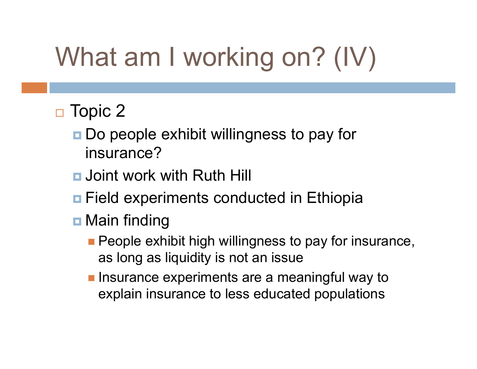# What am I working on? (IV)

#### $\Box$  Topic 2

- **□ Do people exhibit willingness to pay for** insurance?
- **□** Joint work with Ruth Hill
- **<u>n</u>** Field experiments conducted in Ethiopia
- **□** Main finding
	- **People exhibit high willingness to pay for insurance,** as long as liquidity is not an issue
	- **Insurance experiments are a meaningful way to** explain insurance to less educated populations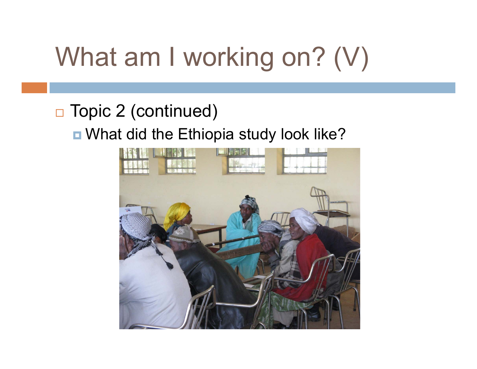# What am I working on? (V)

#### □ Topic 2 (continued)

#### ■ What did the Ethiopia study look like?

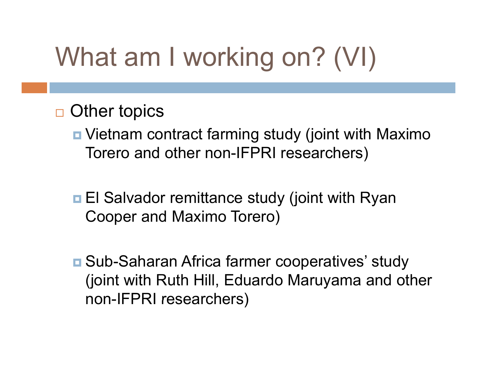# What am I working on? (VI)

#### □ Other topics

■ Vietnam contract farming study (joint with Maximo Torero and other non-IFPRI researchers )

- **□ El Salvador remittance study (joint with Ryan** Cooper and Maximo Torero)
- Sub-Saharan Africa farmer cooperatives' study (joint with Ruth Hill, Eduardo Maruyama and other non-IFPRI researchers)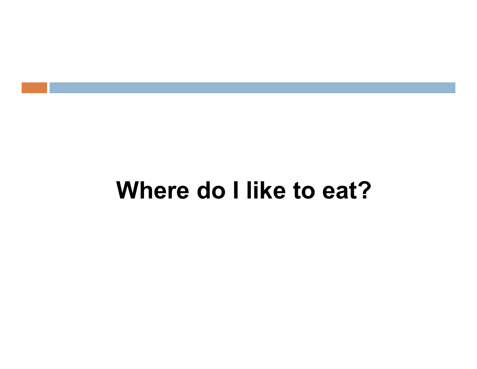### **Where do I like to eat?**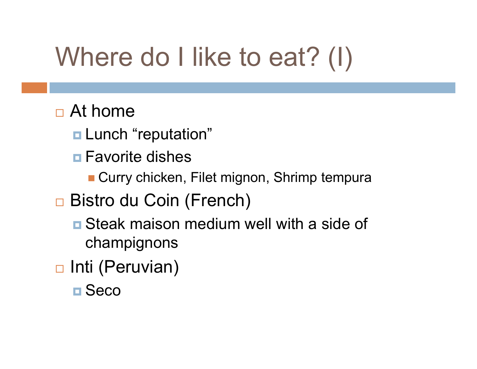# Where do I like to eat? (I)

#### □ At home

- **□ Lunch "reputation"**
- **□ Favorite dishes** 
	- Curry chicken, Filet mignon, Shrimp tempura
- □ Bistro du Coin (French)
	- **<u>n</u>** Steak maison medium well with a side of champignons
- **□ Inti (Peruvian)** 
	- **□ Seco**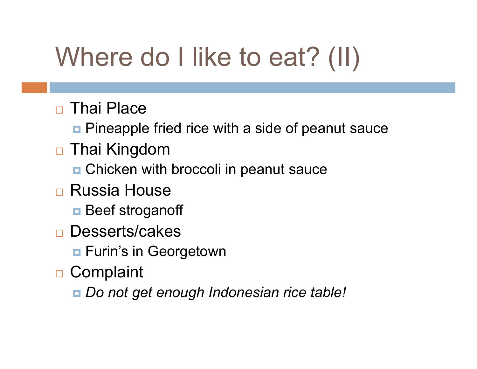## Where do I like to eat? (II)

- **□ Thai Place** 
	- **<u>n</u>** Pineapple fried rice with a side of peanut sauce
- Thai Kingdom
	- Chicken with broccoli in peanut sauce
- □ Russia House
	- **□** Beef stroganoff
- □ Desserts/cakes
	- **□ Furin's in Georgetown**
- **□ Complaint** 
	- *Do not get enough Indonesian rice table!*